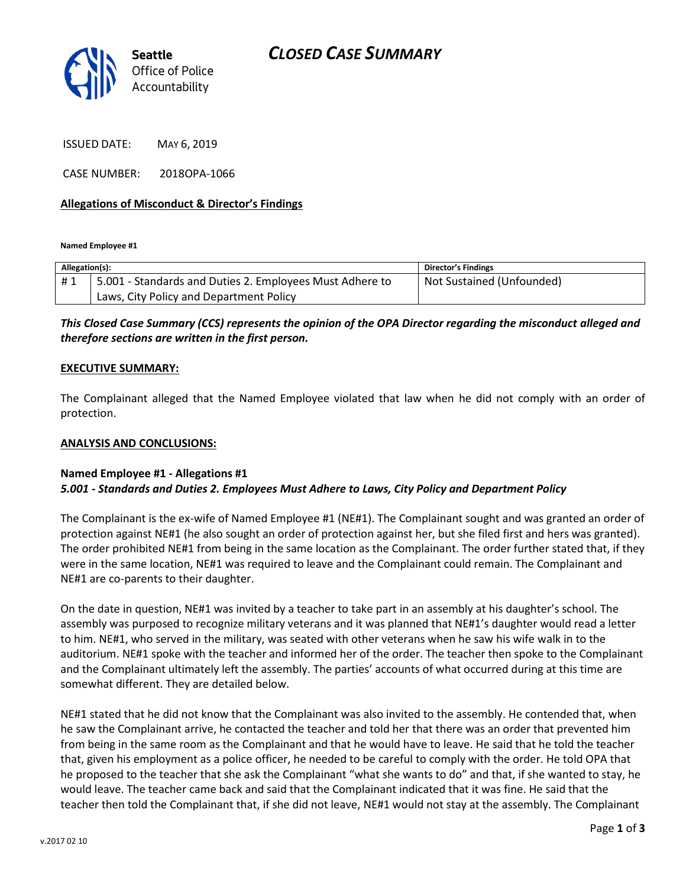

ISSUED DATE: MAY 6, 2019

CASE NUMBER: 2018OPA-1066

### **Allegations of Misconduct & Director's Findings**

**Named Employee #1**

| Allegation(s): |                                                          | Director's Findings       |
|----------------|----------------------------------------------------------|---------------------------|
| #1             | 5.001 - Standards and Duties 2. Employees Must Adhere to | Not Sustained (Unfounded) |
|                | Laws, City Policy and Department Policy                  |                           |

### *This Closed Case Summary (CCS) represents the opinion of the OPA Director regarding the misconduct alleged and therefore sections are written in the first person.*

#### **EXECUTIVE SUMMARY:**

The Complainant alleged that the Named Employee violated that law when he did not comply with an order of protection.

#### **ANALYSIS AND CONCLUSIONS:**

#### **Named Employee #1 - Allegations #1** *5.001 - Standards and Duties 2. Employees Must Adhere to Laws, City Policy and Department Policy*

The Complainant is the ex-wife of Named Employee #1 (NE#1). The Complainant sought and was granted an order of protection against NE#1 (he also sought an order of protection against her, but she filed first and hers was granted). The order prohibited NE#1 from being in the same location as the Complainant. The order further stated that, if they were in the same location, NE#1 was required to leave and the Complainant could remain. The Complainant and NE#1 are co-parents to their daughter.

On the date in question, NE#1 was invited by a teacher to take part in an assembly at his daughter's school. The assembly was purposed to recognize military veterans and it was planned that NE#1's daughter would read a letter to him. NE#1, who served in the military, was seated with other veterans when he saw his wife walk in to the auditorium. NE#1 spoke with the teacher and informed her of the order. The teacher then spoke to the Complainant and the Complainant ultimately left the assembly. The parties' accounts of what occurred during at this time are somewhat different. They are detailed below.

NE#1 stated that he did not know that the Complainant was also invited to the assembly. He contended that, when he saw the Complainant arrive, he contacted the teacher and told her that there was an order that prevented him from being in the same room as the Complainant and that he would have to leave. He said that he told the teacher that, given his employment as a police officer, he needed to be careful to comply with the order. He told OPA that he proposed to the teacher that she ask the Complainant "what she wants to do" and that, if she wanted to stay, he would leave. The teacher came back and said that the Complainant indicated that it was fine. He said that the teacher then told the Complainant that, if she did not leave, NE#1 would not stay at the assembly. The Complainant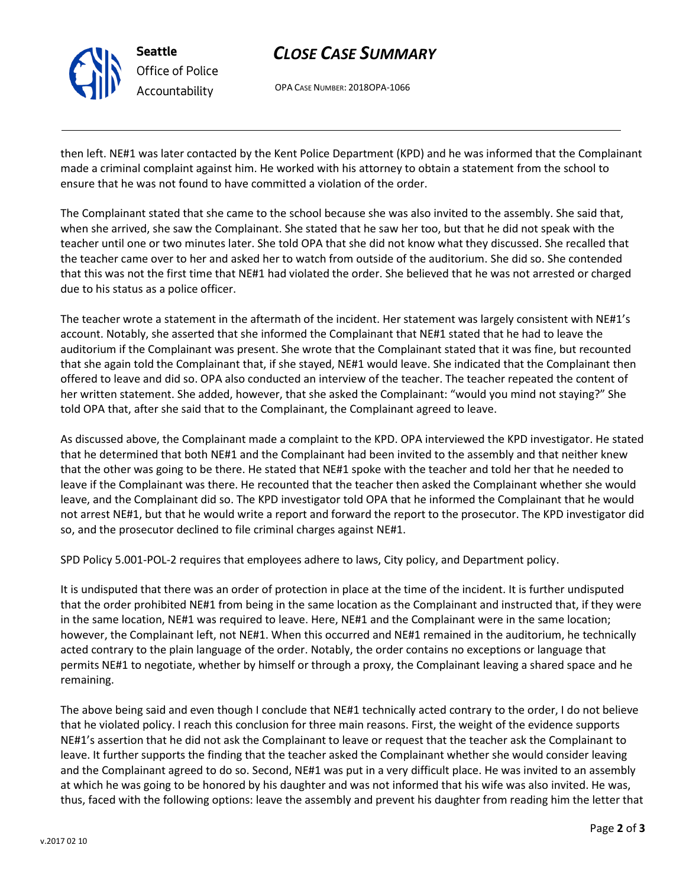

# *CLOSE CASE SUMMARY*

OPA CASE NUMBER: 2018OPA-1066

then left. NE#1 was later contacted by the Kent Police Department (KPD) and he was informed that the Complainant made a criminal complaint against him. He worked with his attorney to obtain a statement from the school to ensure that he was not found to have committed a violation of the order.

The Complainant stated that she came to the school because she was also invited to the assembly. She said that, when she arrived, she saw the Complainant. She stated that he saw her too, but that he did not speak with the teacher until one or two minutes later. She told OPA that she did not know what they discussed. She recalled that the teacher came over to her and asked her to watch from outside of the auditorium. She did so. She contended that this was not the first time that NE#1 had violated the order. She believed that he was not arrested or charged due to his status as a police officer.

The teacher wrote a statement in the aftermath of the incident. Her statement was largely consistent with NE#1's account. Notably, she asserted that she informed the Complainant that NE#1 stated that he had to leave the auditorium if the Complainant was present. She wrote that the Complainant stated that it was fine, but recounted that she again told the Complainant that, if she stayed, NE#1 would leave. She indicated that the Complainant then offered to leave and did so. OPA also conducted an interview of the teacher. The teacher repeated the content of her written statement. She added, however, that she asked the Complainant: "would you mind not staying?" She told OPA that, after she said that to the Complainant, the Complainant agreed to leave.

As discussed above, the Complainant made a complaint to the KPD. OPA interviewed the KPD investigator. He stated that he determined that both NE#1 and the Complainant had been invited to the assembly and that neither knew that the other was going to be there. He stated that NE#1 spoke with the teacher and told her that he needed to leave if the Complainant was there. He recounted that the teacher then asked the Complainant whether she would leave, and the Complainant did so. The KPD investigator told OPA that he informed the Complainant that he would not arrest NE#1, but that he would write a report and forward the report to the prosecutor. The KPD investigator did so, and the prosecutor declined to file criminal charges against NE#1.

SPD Policy 5.001-POL-2 requires that employees adhere to laws, City policy, and Department policy.

It is undisputed that there was an order of protection in place at the time of the incident. It is further undisputed that the order prohibited NE#1 from being in the same location as the Complainant and instructed that, if they were in the same location, NE#1 was required to leave. Here, NE#1 and the Complainant were in the same location; however, the Complainant left, not NE#1. When this occurred and NE#1 remained in the auditorium, he technically acted contrary to the plain language of the order. Notably, the order contains no exceptions or language that permits NE#1 to negotiate, whether by himself or through a proxy, the Complainant leaving a shared space and he remaining.

The above being said and even though I conclude that NE#1 technically acted contrary to the order, I do not believe that he violated policy. I reach this conclusion for three main reasons. First, the weight of the evidence supports NE#1's assertion that he did not ask the Complainant to leave or request that the teacher ask the Complainant to leave. It further supports the finding that the teacher asked the Complainant whether she would consider leaving and the Complainant agreed to do so. Second, NE#1 was put in a very difficult place. He was invited to an assembly at which he was going to be honored by his daughter and was not informed that his wife was also invited. He was, thus, faced with the following options: leave the assembly and prevent his daughter from reading him the letter that